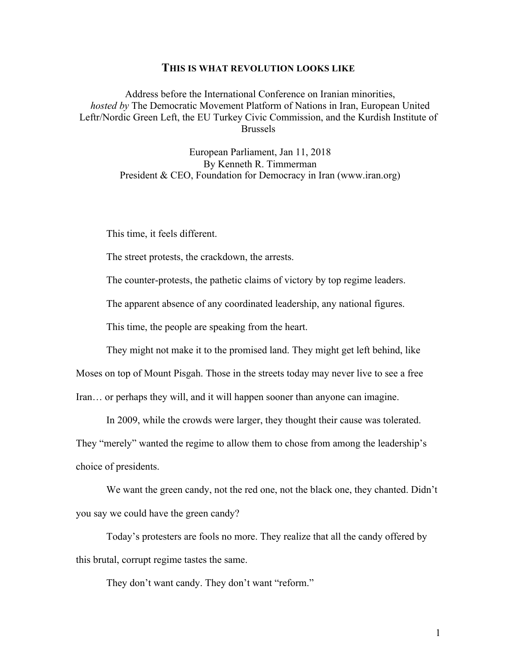## **THIS IS WHAT REVOLUTION LOOKS LIKE**

Address before the International Conference on Iranian minorities, *hosted by* The Democratic Movement Platform of Nations in Iran, European United Leftr/Nordic Green Left, the EU Turkey Civic Commission, and the Kurdish Institute of Brussels

> European Parliament, Jan 11, 2018 By Kenneth R. Timmerman President & CEO, Foundation for Democracy in Iran (www.iran.org)

This time, it feels different.

The street protests, the crackdown, the arrests.

The counter-protests, the pathetic claims of victory by top regime leaders.

The apparent absence of any coordinated leadership, any national figures.

This time, the people are speaking from the heart.

They might not make it to the promised land. They might get left behind, like

Moses on top of Mount Pisgah. Those in the streets today may never live to see a free

Iran… or perhaps they will, and it will happen sooner than anyone can imagine.

In 2009, while the crowds were larger, they thought their cause was tolerated.

They "merely" wanted the regime to allow them to chose from among the leadership's choice of presidents.

We want the green candy, not the red one, not the black one, they chanted. Didn't you say we could have the green candy?

Today's protesters are fools no more. They realize that all the candy offered by this brutal, corrupt regime tastes the same.

They don't want candy. They don't want "reform."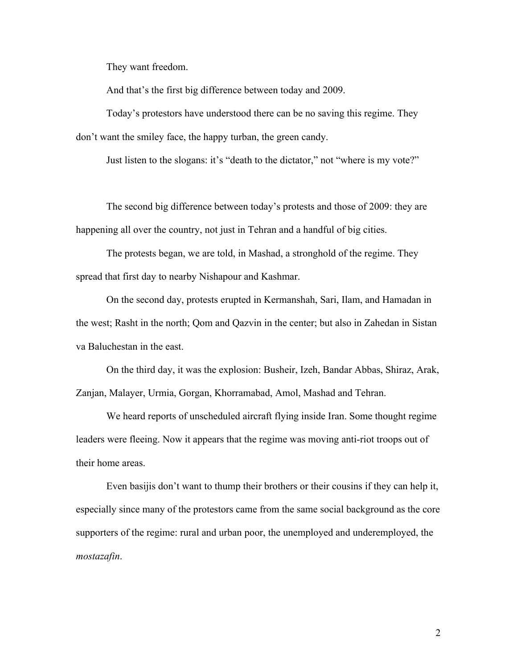They want freedom.

And that's the first big difference between today and 2009.

Today's protestors have understood there can be no saving this regime. They don't want the smiley face, the happy turban, the green candy.

Just listen to the slogans: it's "death to the dictator," not "where is my vote?"

The second big difference between today's protests and those of 2009: they are happening all over the country, not just in Tehran and a handful of big cities.

The protests began, we are told, in Mashad, a stronghold of the regime. They spread that first day to nearby Nishapour and Kashmar.

On the second day, protests erupted in Kermanshah, Sari, Ilam, and Hamadan in the west; Rasht in the north; Qom and Qazvin in the center; but also in Zahedan in Sistan va Baluchestan in the east.

On the third day, it was the explosion: Busheir, Izeh, Bandar Abbas, Shiraz, Arak, Zanjan, Malayer, Urmia, Gorgan, Khorramabad, Amol, Mashad and Tehran.

We heard reports of unscheduled aircraft flying inside Iran. Some thought regime leaders were fleeing. Now it appears that the regime was moving anti-riot troops out of their home areas.

Even basijis don't want to thump their brothers or their cousins if they can help it, especially since many of the protestors came from the same social background as the core supporters of the regime: rural and urban poor, the unemployed and underemployed, the *mostazafin*.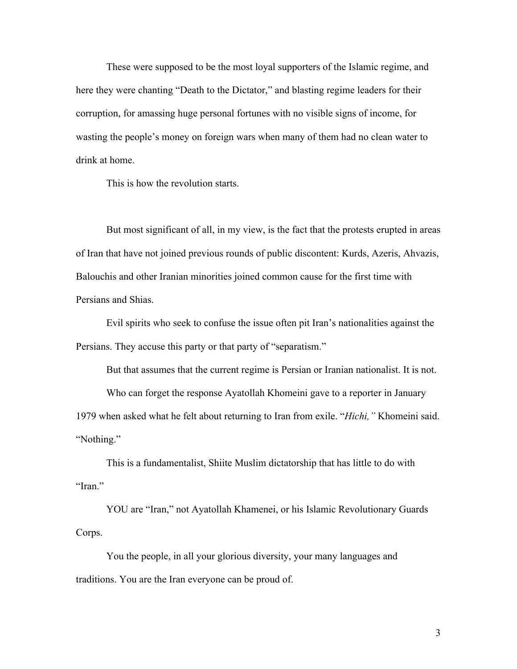These were supposed to be the most loyal supporters of the Islamic regime, and here they were chanting "Death to the Dictator," and blasting regime leaders for their corruption, for amassing huge personal fortunes with no visible signs of income, for wasting the people's money on foreign wars when many of them had no clean water to drink at home.

This is how the revolution starts.

But most significant of all, in my view, is the fact that the protests erupted in areas of Iran that have not joined previous rounds of public discontent: Kurds, Azeris, Ahvazis, Balouchis and other Iranian minorities joined common cause for the first time with Persians and Shias.

Evil spirits who seek to confuse the issue often pit Iran's nationalities against the Persians. They accuse this party or that party of "separatism."

But that assumes that the current regime is Persian or Iranian nationalist. It is not.

Who can forget the response Ayatollah Khomeini gave to a reporter in January 1979 when asked what he felt about returning to Iran from exile. "*Hichi,"* Khomeini said.

"Nothing."

This is a fundamentalist, Shiite Muslim dictatorship that has little to do with "Iran."

YOU are "Iran," not Ayatollah Khamenei, or his Islamic Revolutionary Guards Corps.

You the people, in all your glorious diversity, your many languages and traditions. You are the Iran everyone can be proud of.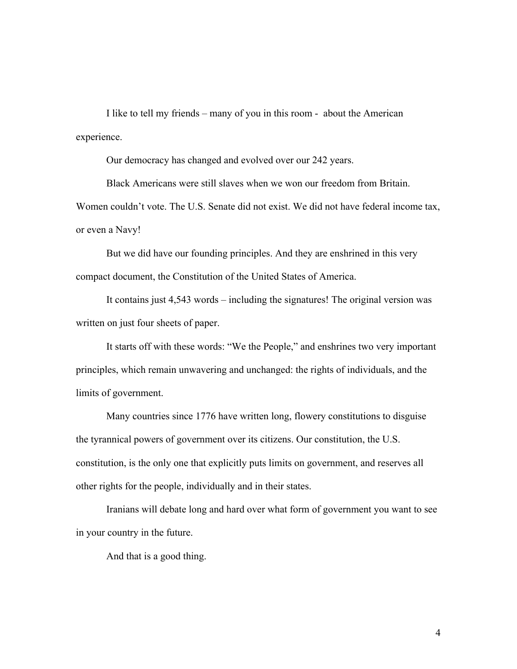I like to tell my friends – many of you in this room - about the American experience.

Our democracy has changed and evolved over our 242 years.

Black Americans were still slaves when we won our freedom from Britain. Women couldn't vote. The U.S. Senate did not exist. We did not have federal income tax, or even a Navy!

But we did have our founding principles. And they are enshrined in this very compact document, the Constitution of the United States of America.

It contains just 4,543 words – including the signatures! The original version was written on just four sheets of paper.

It starts off with these words: "We the People," and enshrines two very important principles, which remain unwavering and unchanged: the rights of individuals, and the limits of government.

Many countries since 1776 have written long, flowery constitutions to disguise the tyrannical powers of government over its citizens. Our constitution, the U.S. constitution, is the only one that explicitly puts limits on government, and reserves all other rights for the people, individually and in their states.

Iranians will debate long and hard over what form of government you want to see in your country in the future.

And that is a good thing.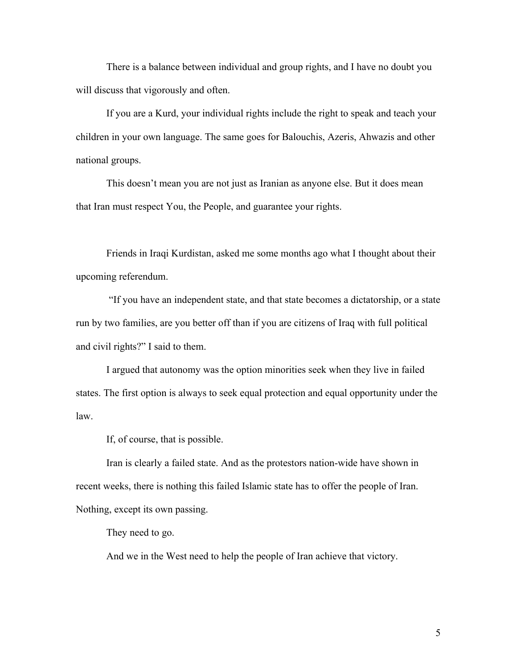There is a balance between individual and group rights, and I have no doubt you will discuss that vigorously and often.

If you are a Kurd, your individual rights include the right to speak and teach your children in your own language. The same goes for Balouchis, Azeris, Ahwazis and other national groups.

This doesn't mean you are not just as Iranian as anyone else. But it does mean that Iran must respect You, the People, and guarantee your rights.

Friends in Iraqi Kurdistan, asked me some months ago what I thought about their upcoming referendum.

"If you have an independent state, and that state becomes a dictatorship, or a state run by two families, are you better off than if you are citizens of Iraq with full political and civil rights?" I said to them.

I argued that autonomy was the option minorities seek when they live in failed states. The first option is always to seek equal protection and equal opportunity under the law.

If, of course, that is possible.

Iran is clearly a failed state. And as the protestors nation-wide have shown in recent weeks, there is nothing this failed Islamic state has to offer the people of Iran. Nothing, except its own passing.

They need to go.

And we in the West need to help the people of Iran achieve that victory.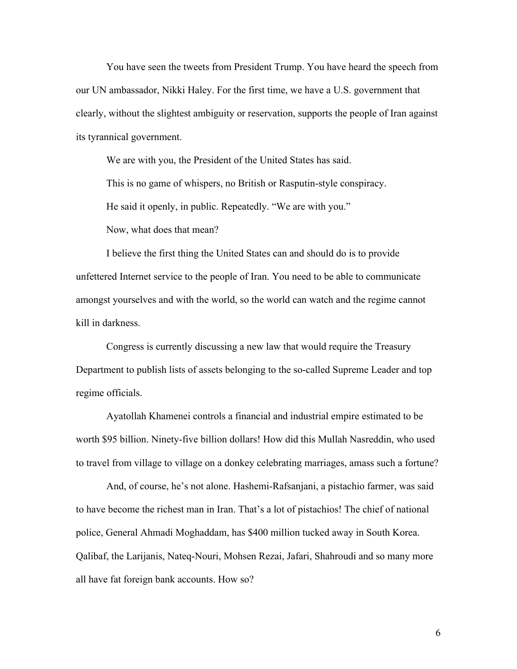You have seen the tweets from President Trump. You have heard the speech from our UN ambassador, Nikki Haley. For the first time, we have a U.S. government that clearly, without the slightest ambiguity or reservation, supports the people of Iran against its tyrannical government.

We are with you, the President of the United States has said.

This is no game of whispers, no British or Rasputin-style conspiracy.

He said it openly, in public. Repeatedly. "We are with you."

Now, what does that mean?

I believe the first thing the United States can and should do is to provide unfettered Internet service to the people of Iran. You need to be able to communicate amongst yourselves and with the world, so the world can watch and the regime cannot kill in darkness.

Congress is currently discussing a new law that would require the Treasury Department to publish lists of assets belonging to the so-called Supreme Leader and top regime officials.

Ayatollah Khamenei controls a financial and industrial empire estimated to be worth \$95 billion. Ninety-five billion dollars! How did this Mullah Nasreddin, who used to travel from village to village on a donkey celebrating marriages, amass such a fortune?

And, of course, he's not alone. Hashemi-Rafsanjani, a pistachio farmer, was said to have become the richest man in Iran. That's a lot of pistachios! The chief of national police, General Ahmadi Moghaddam, has \$400 million tucked away in South Korea. Qalibaf, the Larijanis, Nateq-Nouri, Mohsen Rezai, Jafari, Shahroudi and so many more all have fat foreign bank accounts. How so?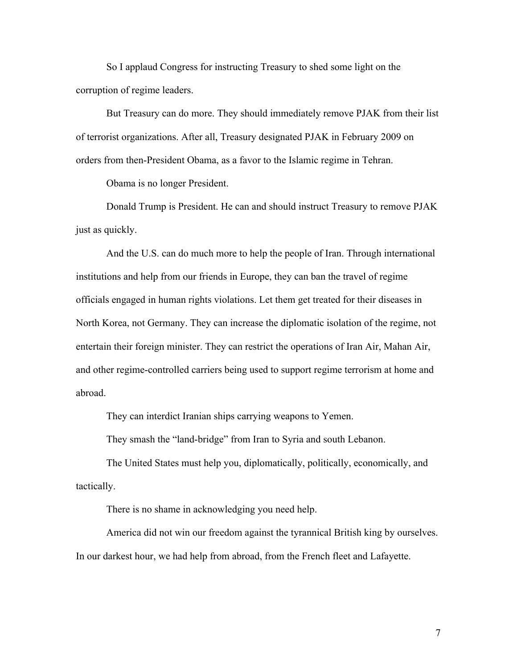So I applaud Congress for instructing Treasury to shed some light on the corruption of regime leaders.

But Treasury can do more. They should immediately remove PJAK from their list of terrorist organizations. After all, Treasury designated PJAK in February 2009 on orders from then-President Obama, as a favor to the Islamic regime in Tehran.

Obama is no longer President.

Donald Trump is President. He can and should instruct Treasury to remove PJAK just as quickly.

And the U.S. can do much more to help the people of Iran. Through international institutions and help from our friends in Europe, they can ban the travel of regime officials engaged in human rights violations. Let them get treated for their diseases in North Korea, not Germany. They can increase the diplomatic isolation of the regime, not entertain their foreign minister. They can restrict the operations of Iran Air, Mahan Air, and other regime-controlled carriers being used to support regime terrorism at home and abroad.

They can interdict Iranian ships carrying weapons to Yemen.

They smash the "land-bridge" from Iran to Syria and south Lebanon.

The United States must help you, diplomatically, politically, economically, and tactically.

There is no shame in acknowledging you need help.

America did not win our freedom against the tyrannical British king by ourselves. In our darkest hour, we had help from abroad, from the French fleet and Lafayette.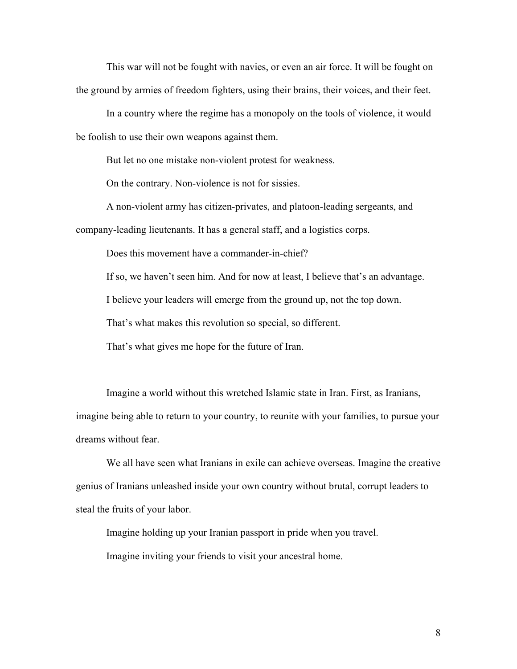This war will not be fought with navies, or even an air force. It will be fought on the ground by armies of freedom fighters, using their brains, their voices, and their feet.

In a country where the regime has a monopoly on the tools of violence, it would be foolish to use their own weapons against them.

But let no one mistake non-violent protest for weakness.

On the contrary. Non-violence is not for sissies.

A non-violent army has citizen-privates, and platoon-leading sergeants, and company-leading lieutenants. It has a general staff, and a logistics corps.

Does this movement have a commander-in-chief?

If so, we haven't seen him. And for now at least, I believe that's an advantage.

I believe your leaders will emerge from the ground up, not the top down.

That's what makes this revolution so special, so different.

That's what gives me hope for the future of Iran.

Imagine a world without this wretched Islamic state in Iran. First, as Iranians, imagine being able to return to your country, to reunite with your families, to pursue your dreams without fear.

We all have seen what Iranians in exile can achieve overseas. Imagine the creative genius of Iranians unleashed inside your own country without brutal, corrupt leaders to steal the fruits of your labor.

Imagine holding up your Iranian passport in pride when you travel.

Imagine inviting your friends to visit your ancestral home.